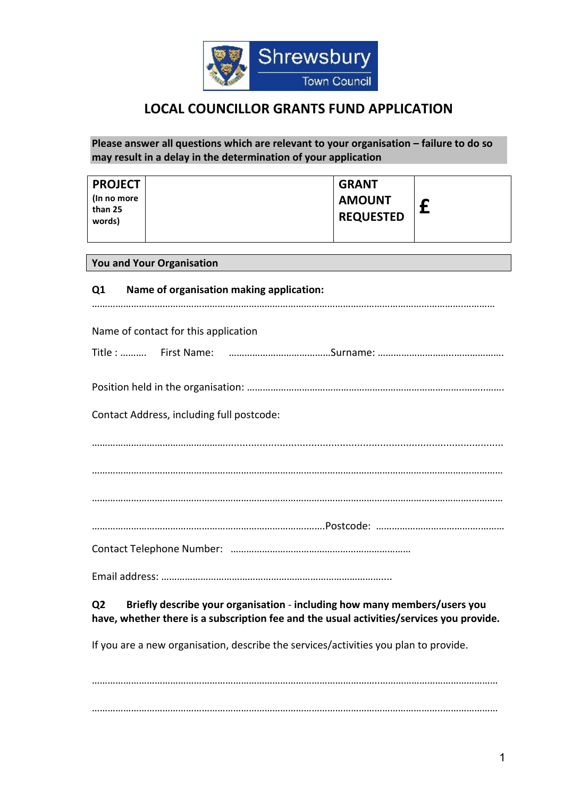

# **LOCAL COUNCILLOR GRANTS FUND APPLICATION**

## **Please answer all questions which are relevant to your organisation – failure to do so may result in a delay in the determination of your application**

| <b>PROJECT</b><br>(In no more | <b>GRANT</b><br><b>AMOUNT</b> |  |
|-------------------------------|-------------------------------|--|
| than 25<br>words)             | <b>REQUESTED</b>              |  |
|                               |                               |  |

#### **You and Your Organisation**

| Q <sub>1</sub> | Name of organisation making application:  |
|----------------|-------------------------------------------|
|                | Name of contact for this application      |
|                |                                           |
|                |                                           |
|                |                                           |
|                | Contact Address, including full postcode: |
|                |                                           |
|                |                                           |
|                |                                           |
|                |                                           |
|                |                                           |
|                |                                           |

## **Q2 Briefly describe your organisation** - **including how many members/users you have, whether there is a subscription fee and the usual activities/services you provide.**

If you are a new organisation, describe the services/activities you plan to provide.

………………………………………………………………………………………………..……………………………………… ……………………………………………………………………………………………………………………..…………………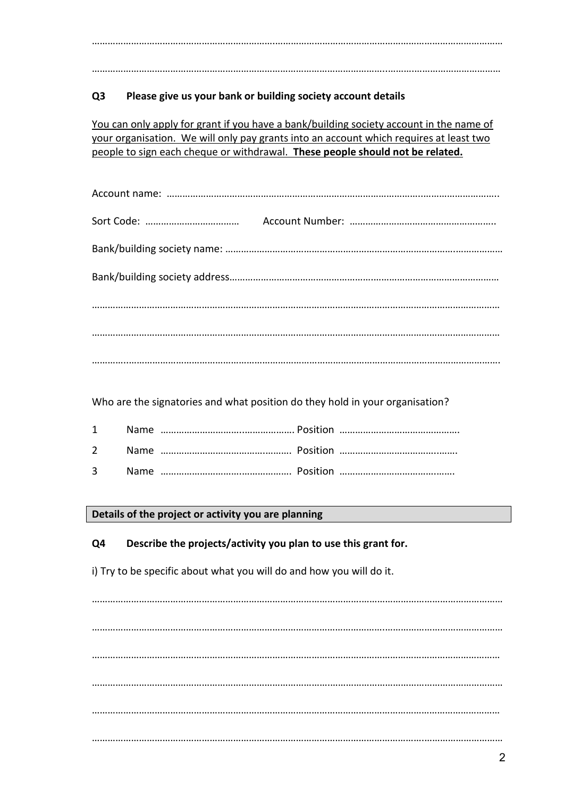…………………………………………………………….……………………………………………………………………………

…………………………………………………………………………………………………..……….……………………………

## **Q3 Please give us your bank or building society account details**

You can only apply for grant if you have a bank/building society account in the name of your organisation. We will only pay grants into an account which requires at least two people to sign each cheque or withdrawal. **These people should not be related.**

Who are the signatories and what position do they hold in your organisation?

**Details of the project or activity you are planning**

**Q4 Describe the projects/activity you plan to use this grant for.**

i) Try to be specific about what you will do and how you will do it.

………………………………………………………………………………………….……………………………………………… ………………………………………………………………………………………………….……………………………………… ………………………………………………………………………………………………………………………………………… ……………………………………………………………………………….………………………………………………………… ………………………………………………………………………………………………………………………………………… ……………………………………………………………………………………………………………….…………………………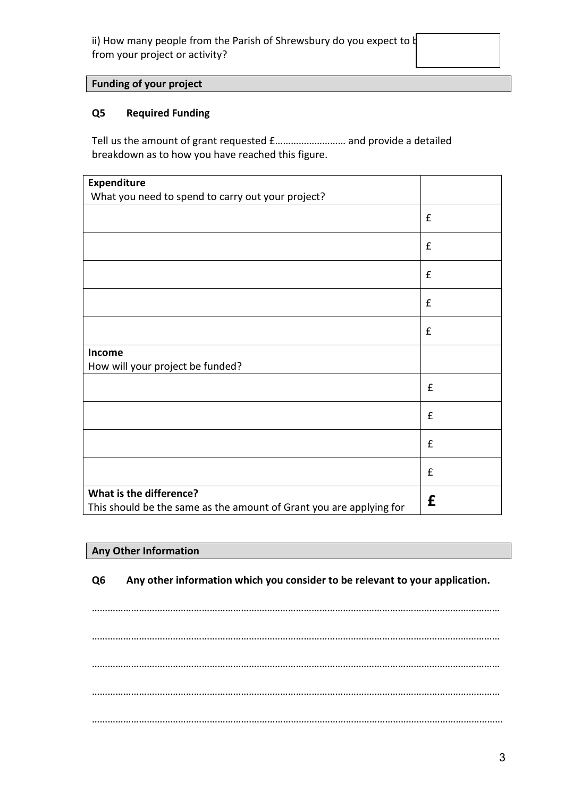ii) How many people from the Parish of Shrewsbury do you expect to  $\natural$ from your project or activity?

## **Funding of your project**

## **Q5 Required Funding**

Tell us the amount of grant requested £……………………… and provide a detailed breakdown as to how you have reached this figure.

| <b>Expenditure</b>                                                  |                    |
|---------------------------------------------------------------------|--------------------|
| What you need to spend to carry out your project?                   |                    |
|                                                                     | $\pmb{\mathsf{f}}$ |
|                                                                     | $\pmb{\mathsf{f}}$ |
|                                                                     | $\mathbf f$        |
|                                                                     | $\pmb{\mathsf{f}}$ |
|                                                                     | $\pmb{\mathsf{f}}$ |
| Income                                                              |                    |
| How will your project be funded?                                    |                    |
|                                                                     | $\pmb{\mathsf{f}}$ |
|                                                                     | $\pmb{\mathsf{f}}$ |
|                                                                     | $\pmb{\mathsf{f}}$ |
|                                                                     | £                  |
| What is the difference?                                             |                    |
| This should be the same as the amount of Grant you are applying for | £                  |

## **Any Other Information**

**Q6 Any other information which you consider to be relevant to your application.**

………………………………………………………………………………………………………………………………………… ………………………………………………………………………………………………………………………………………… ………………………………………………………………………………………………………………………………………… ………………………………………………………………………………………………………………………………………… …………………………………………………….……………………………………………………………………………………